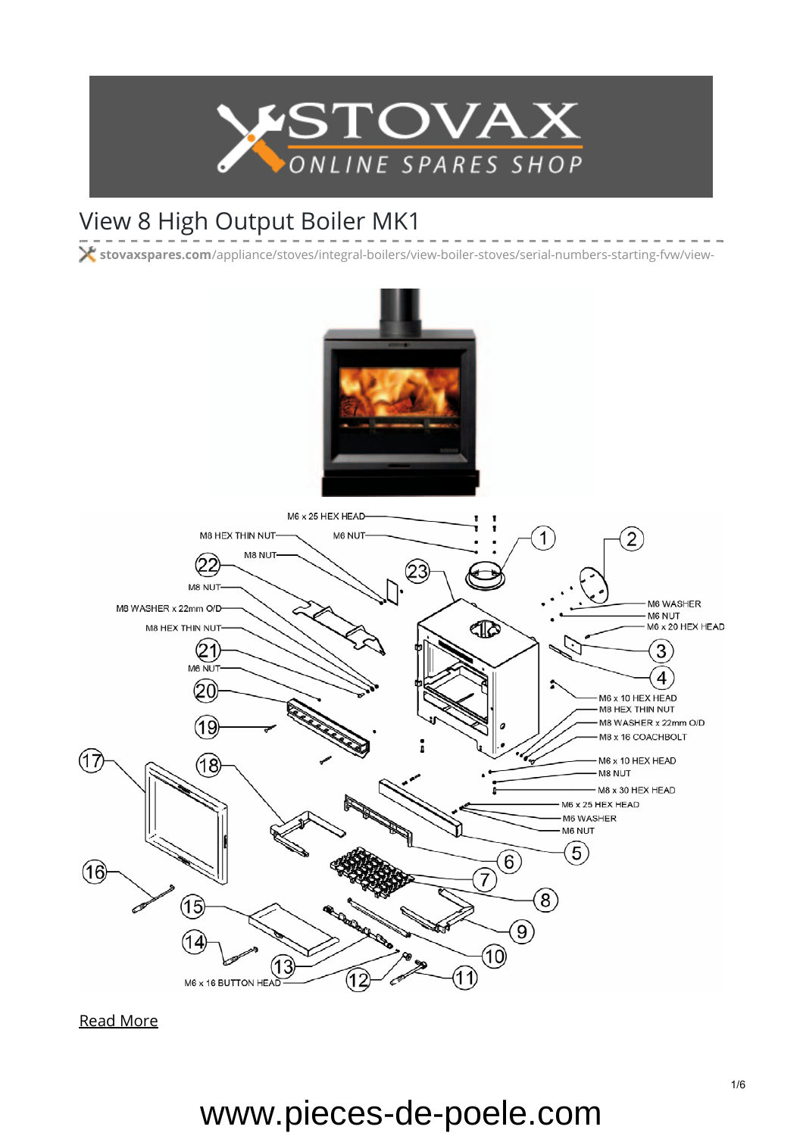

#### View 8 High Output Boiler MK1

**stovaxspares.com**[/appliance/stoves/integral-boilers/view-boiler-stoves/serial-numbers-starting-fvw/view-](https://www.stovaxspares.com/appliance/stoves/integral-boilers/view-boiler-stoves/serial-numbers-starting-fvw/view-8-high-output-boiler/)



[Read More](https://www.stovaxspares.com/product/na-carcass-2/)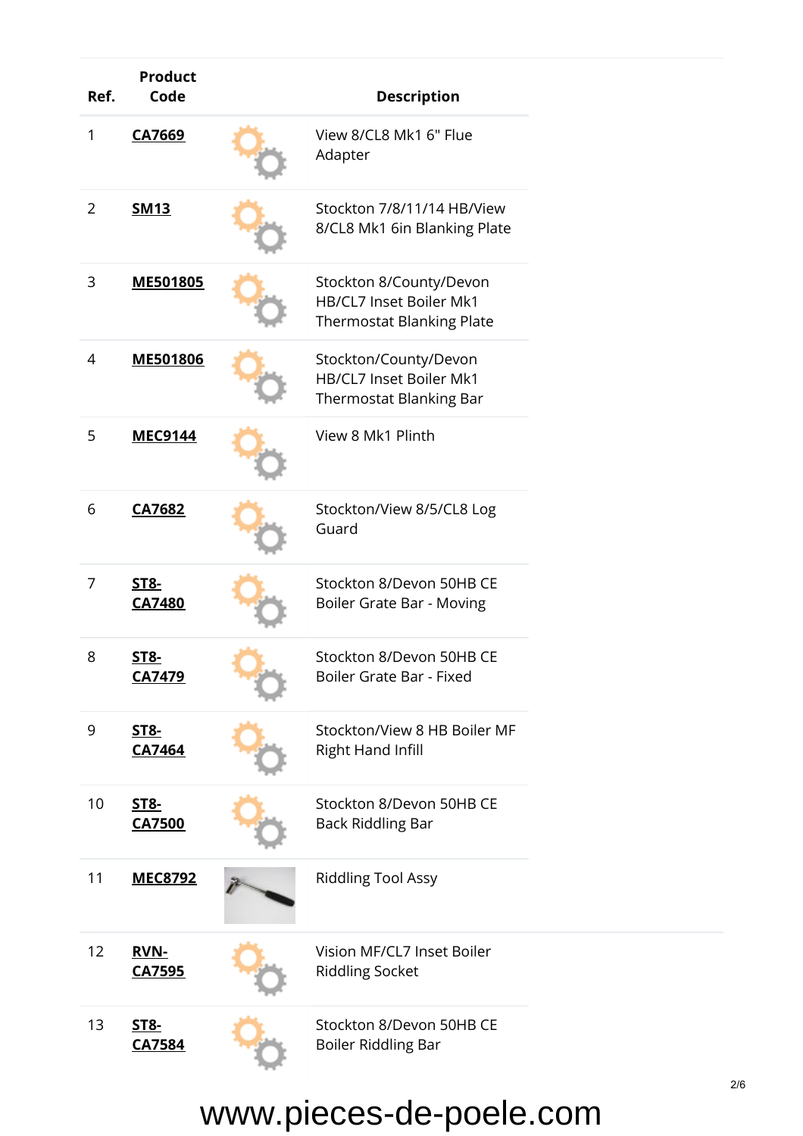| Ref.           | <b>Product</b><br>Code       | <b>Description</b>                                                                            |
|----------------|------------------------------|-----------------------------------------------------------------------------------------------|
| 1              | CA7669                       | View 8/CL8 Mk1 6" Flue<br>Adapter                                                             |
| $\overline{2}$ | <b>SM13</b>                  | Stockton 7/8/11/14 HB/View<br>8/CL8 Mk1 6in Blanking Plate                                    |
| 3              | ME501805                     | Stockton 8/County/Devon<br><b>HB/CL7 Inset Boiler Mk1</b><br><b>Thermostat Blanking Plate</b> |
| 4              | ME501806                     | Stockton/County/Devon<br><b>HB/CL7 Inset Boiler Mk1</b><br><b>Thermostat Blanking Bar</b>     |
| 5              | <b>MEC9144</b>               | View 8 Mk1 Plinth                                                                             |
| 6              | <b>CA7682</b>                | Stockton/View 8/5/CL8 Log<br>Guard                                                            |
| 7              | <b>ST8-</b><br><b>CA7480</b> | Stockton 8/Devon 50HB CE<br>Boiler Grate Bar - Moving                                         |
| 8              | <u>ST8-</u><br>CA7479        | Stockton 8/Devon 50HB CE<br>Boiler Grate Bar - Fixed                                          |
| 9              | <b>ST8-</b><br>CA7464        | Stockton/View 8 HB Boiler MF<br><b>Right Hand Infill</b>                                      |
| 10             | <b>ST8-</b><br><b>CA7500</b> | Stockton 8/Devon 50HB CE<br><b>Back Riddling Bar</b>                                          |
| 11             | <u>MEC8792</u>               | <b>Riddling Tool Assy</b>                                                                     |
| 12             | <b>RVN-</b><br>CA7595        | Vision MF/CL7 Inset Boiler<br><b>Riddling Socket</b>                                          |
| 13             | <b>ST8-</b><br>CA7584        | Stockton 8/Devon 50HB CE<br><b>Boiler Riddling Bar</b>                                        |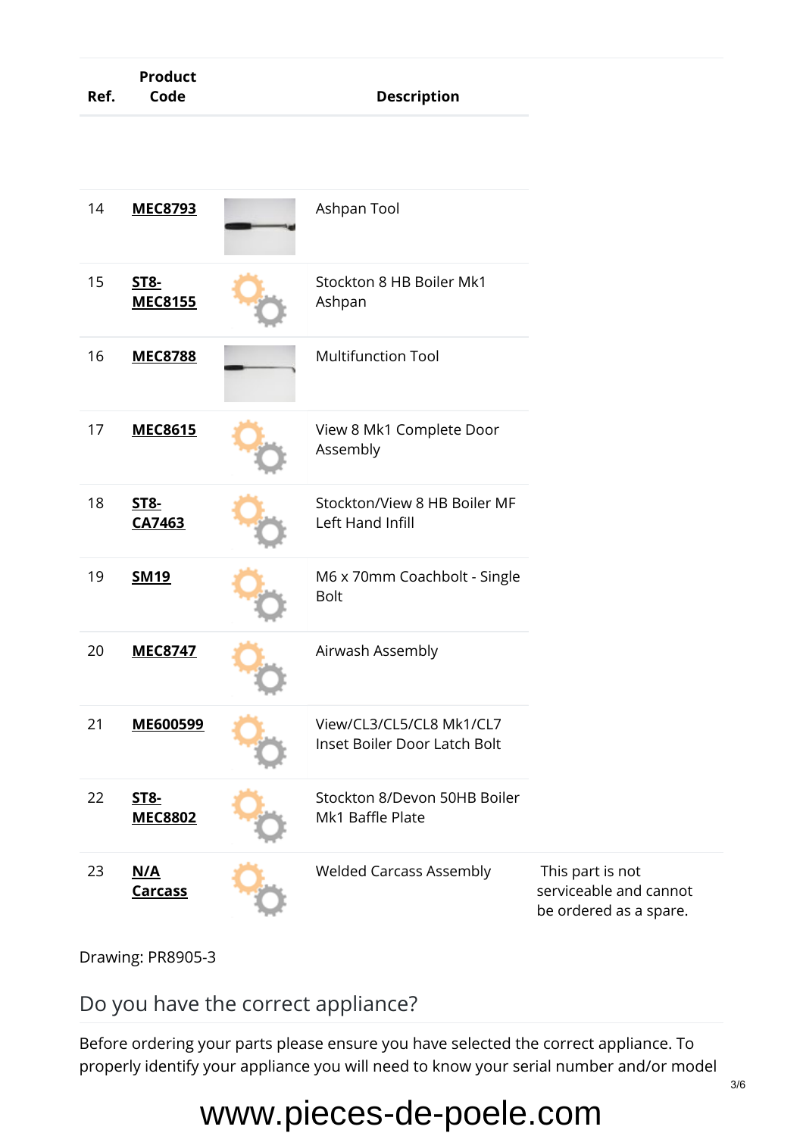| Ref. | <b>Product</b><br>Code        | <b>Description</b>                                       |                                                                      |
|------|-------------------------------|----------------------------------------------------------|----------------------------------------------------------------------|
|      |                               |                                                          |                                                                      |
| 14   | <b>MEC8793</b>                | Ashpan Tool                                              |                                                                      |
| 15   | <b>ST8-</b><br><b>MEC8155</b> | Stockton 8 HB Boiler Mk1<br>Ashpan                       |                                                                      |
| 16   | <b>MEC8788</b>                | <b>Multifunction Tool</b>                                |                                                                      |
| 17   | <b>MEC8615</b>                | View 8 Mk1 Complete Door<br>Assembly                     |                                                                      |
| 18   | <b>ST8-</b><br>CA7463         | Stockton/View 8 HB Boiler MF<br>Left Hand Infill         |                                                                      |
| 19   | <b>SM19</b>                   | M6 x 70mm Coachbolt - Single<br><b>Bolt</b>              |                                                                      |
| 20   | <b>MEC8747</b>                | Airwash Assembly                                         |                                                                      |
| 21   | ME600599                      | View/CL3/CL5/CL8 Mk1/CL7<br>Inset Boiler Door Latch Bolt |                                                                      |
| 22   | <b>ST8-</b><br><b>MEC8802</b> | Stockton 8/Devon 50HB Boiler<br>Mk1 Baffle Plate         |                                                                      |
| 23   | N/A<br><b>Carcass</b>         | <b>Welded Carcass Assembly</b>                           | This part is not<br>serviceable and cannot<br>be ordered as a spare. |

Drawing: PR8905-3

Do you have the correct appliance?

Before ordering your parts please ensure you have selected the correct appliance. To properly identify your appliance you will need to know your serial number and/or model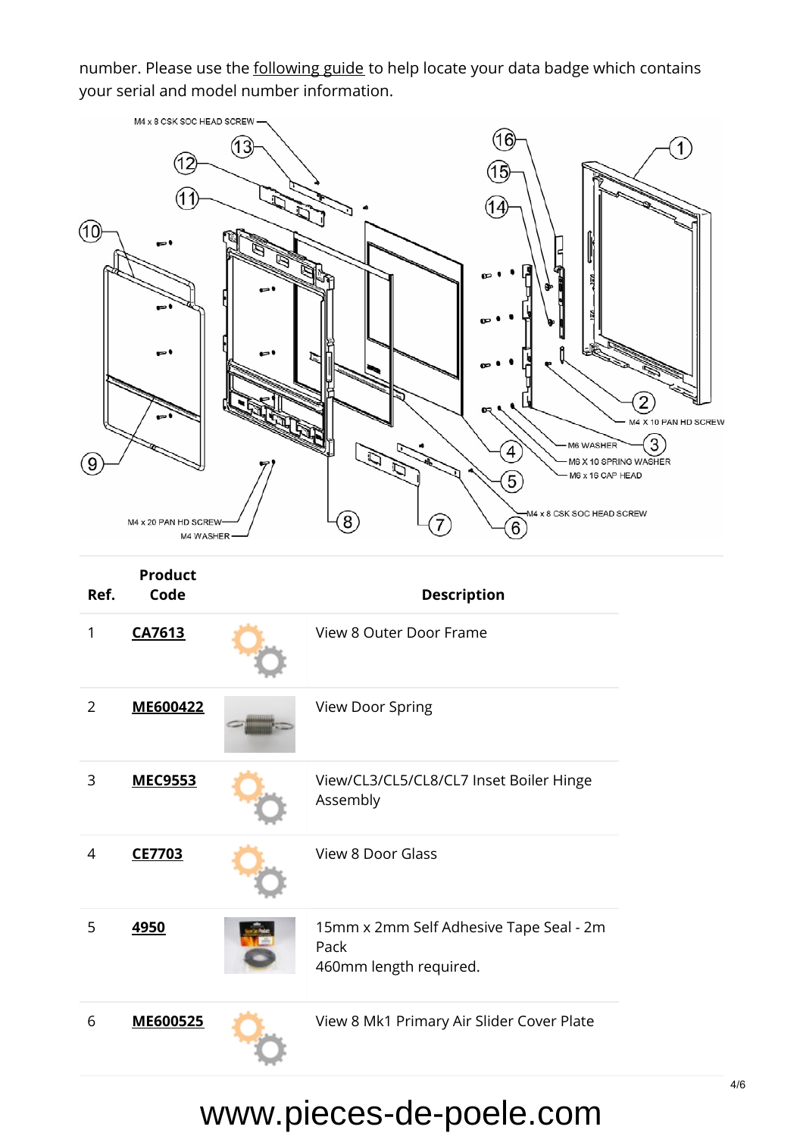number. Please use the [following guide](https://www.stovaxspares.com/find-your-databadge/) to help locate your data badge which contains your serial and model number information.

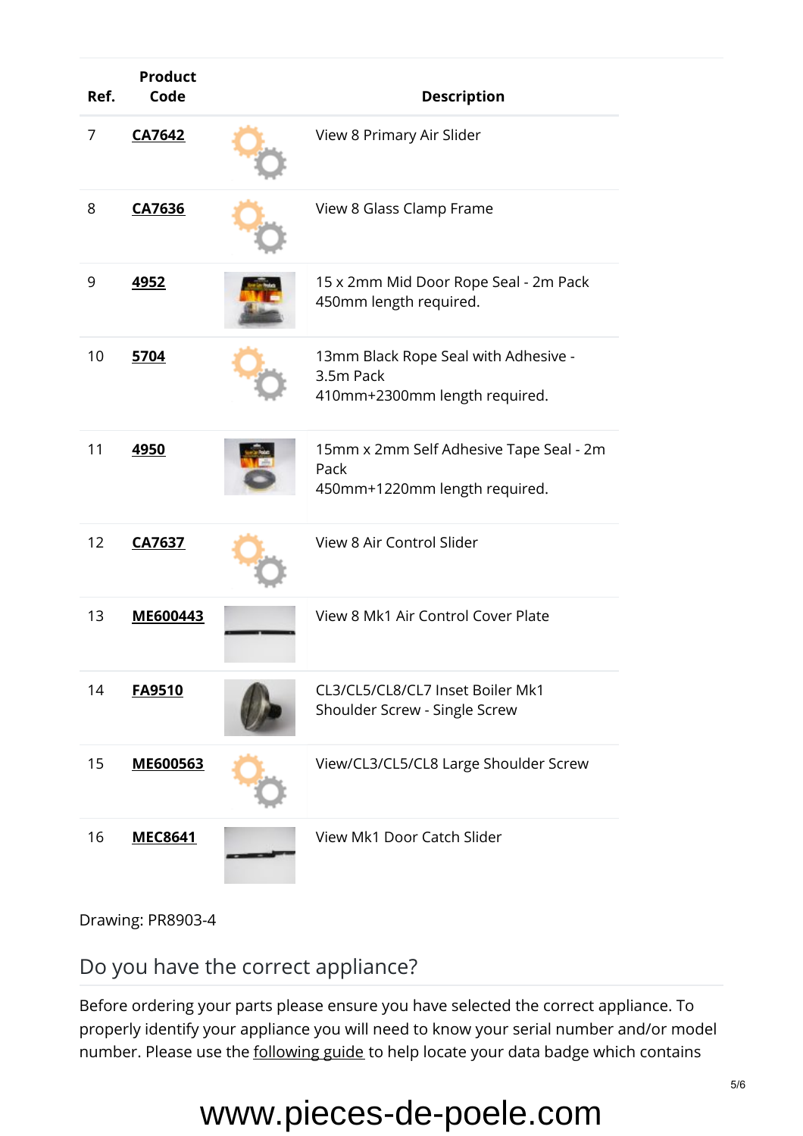| Ref. | <b>Product</b><br>Code | <b>Description</b>                                                                 |
|------|------------------------|------------------------------------------------------------------------------------|
| 7    | <b>CA7642</b>          | View 8 Primary Air Slider                                                          |
| 8    | <b>CA7636</b>          | View 8 Glass Clamp Frame                                                           |
| 9    | <u>4952</u>            | 15 x 2mm Mid Door Rope Seal - 2m Pack<br>450mm length required.                    |
| 10   | 5704                   | 13mm Black Rope Seal with Adhesive -<br>3.5m Pack<br>410mm+2300mm length required. |
| 11   | 4950                   | 15mm x 2mm Self Adhesive Tape Seal - 2m<br>Pack<br>450mm+1220mm length required.   |
| 12   | <b>CA7637</b>          | View 8 Air Control Slider                                                          |
| 13   | ME600443               | View 8 Mk1 Air Control Cover Plate                                                 |
| 14   | FA9510                 | CL3/CL5/CL8/CL7 Inset Boiler Mk1<br>Shoulder Screw - Single Screw                  |
| 15   | ME600563               | View/CL3/CL5/CL8 Large Shoulder Screw                                              |
| 16   | <b>MEC8641</b>         | View Mk1 Door Catch Slider                                                         |

Drawing: PR8903-4

Do you have the correct appliance?

Before ordering your parts please ensure you have selected the correct appliance. To properly identify your appliance you will need to know your serial number and/or model number. Please use the [following guide](https://www.stovaxspares.com/find-your-databadge/) to help locate your data badge which contains